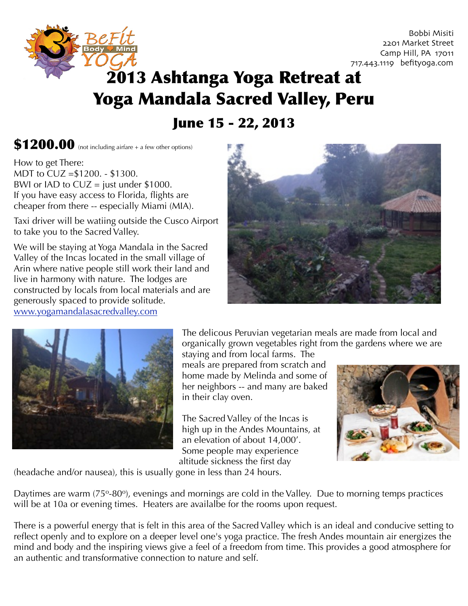

 Bobbi Misiti 2201 Market Street Camp Hill, PA 17011 717.443.1119 befityoga.com

## 2013 Ashtanga Yoga Retreat at Yoga Mandala Sacred Valley, Peru

June 15 - 22, 2013

 $$1200.00$  (not including airfare + a few other options)

How to get There: MDT to CUZ =\$1200. - \$1300. BWI or IAD to  $CUZ =$  just under \$1000. If you have easy access to Florida, flights are cheaper from there -- especially Miami (MIA).

Taxi driver will be watiing outside the Cusco Airport to take you to the Sacred Valley.

We will be staying at Yoga Mandala in the Sacred Valley of the Incas located in the small village of Arin where native people still work their land and live in harmony with nature. The lodges are constructed by locals from local materials and are generously spaced to provide solitude. [www.yogamandalasacredvalley.com](http://www.yogamandalasacredvalley.com)





The delicous Peruvian vegetarian meals are made from local and organically grown vegetables right from the gardens where we are

staying and from local farms. The meals are prepared from scratch and home made by Melinda and some of her neighbors -- and many are baked in their clay oven.

The Sacred Valley of the Incas is high up in the Andes Mountains, at an elevation of about 14,000'. Some people may experience altitude sickness the first day



(headache and/or nausea), this is usually gone in less than 24 hours.

Daytimes are warm (75°-80°), evenings and mornings are cold in the Valley. Due to morning temps practices will be at 10a or evening times. Heaters are availalbe for the rooms upon request.

There is a powerful energy that is felt in this area of the Sacred Valley which is an ideal and conducive setting to reflect openly and to explore on a deeper level one's yoga practice. The fresh Andes mountain air energizes the mind and body and the inspiring views give a feel of a freedom from time. This provides a good atmosphere for an authentic and transformative connection to nature and self.